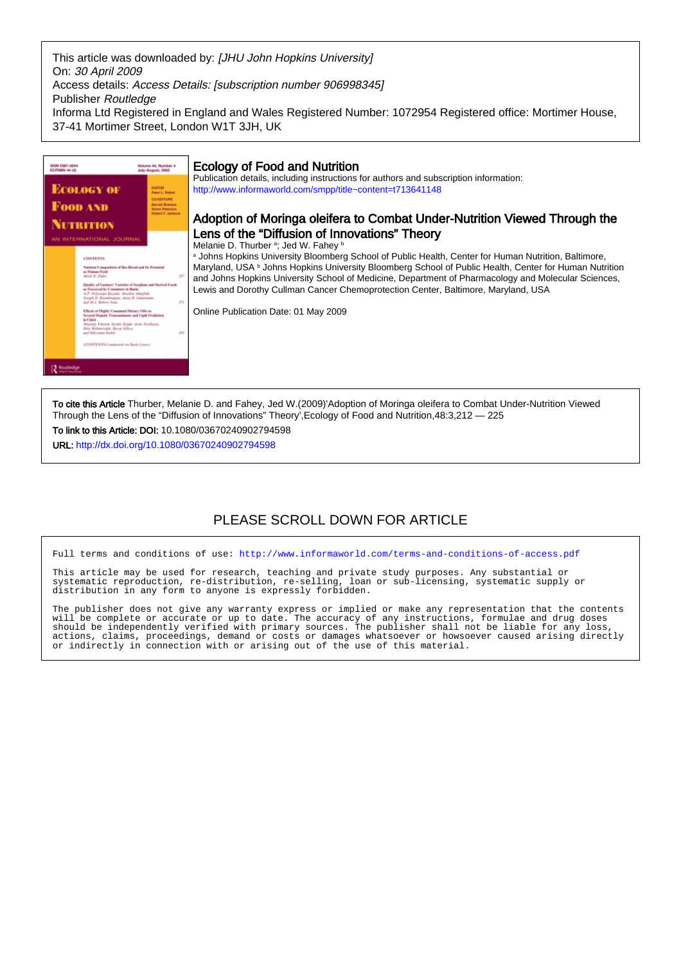This article was downloaded by: [JHU John Hopkins University] On: 30 April 2009 Access details: Access Details: [subscription number 906998345] Publisher Routledge Informa Ltd Registered in England and Wales Registered Number: 1072954 Registered office: Mortimer House, 37-41 Mortimer Street, London W1T 3JH, UK



To cite this Article Thurber, Melanie D. and Fahey, Jed W.(2009)'Adoption of Moringa oleifera to Combat Under-Nutrition Viewed Through the Lens of the "Diffusion of Innovations" Theory',Ecology of Food and Nutrition,48:3,212 — 225

To link to this Article: DOI: 10.1080/03670240902794598

URL: <http://dx.doi.org/10.1080/03670240902794598>

## PLEASE SCROLL DOWN FOR ARTICLE

Full terms and conditions of use:<http://www.informaworld.com/terms-and-conditions-of-access.pdf>

This article may be used for research, teaching and private study purposes. Any substantial or systematic reproduction, re-distribution, re-selling, loan or sub-licensing, systematic supply or distribution in any form to anyone is expressly forbidden.

The publisher does not give any warranty express or implied or make any representation that the contents will be complete or accurate or up to date. The accuracy of any instructions, formulae and drug doses should be independently verified with primary sources. The publisher shall not be liable for any loss, actions, claims, proceedings, demand or costs or damages whatsoever or howsoever caused arising directly or indirectly in connection with or arising out of the use of this material.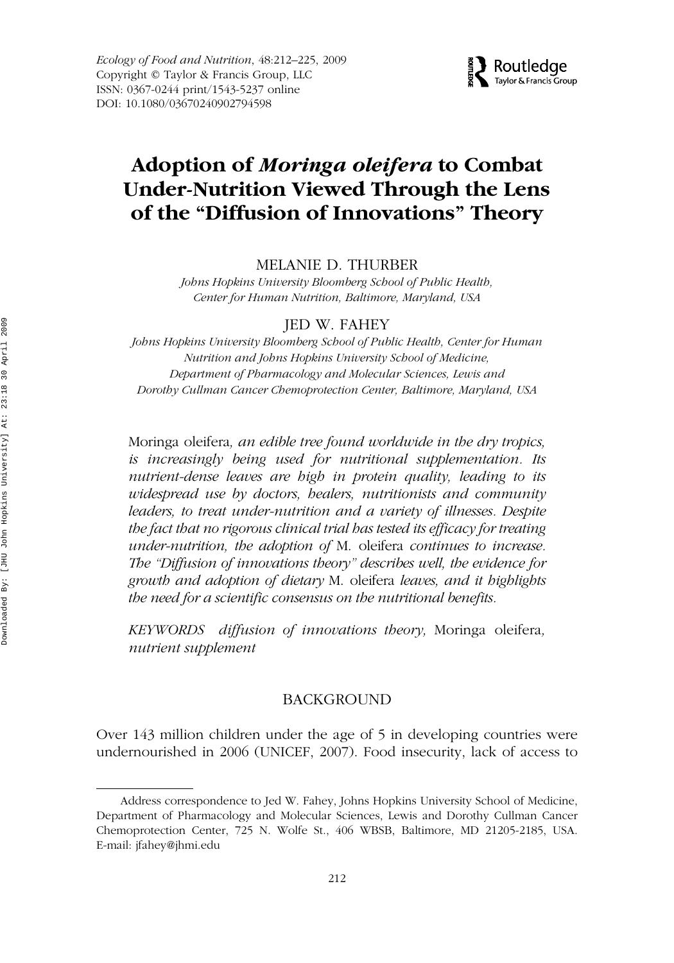*Ecology of Food and Nutrition*, 48:212–225, 2009 Copyright © Taylor & Francis Group, LLC ISSN: 0367-0244 print/1543-5237 online DOI: 10.1080/03670240902794598



# GEFN 0367-0244 1543-5237Ecology of Food and Nutrition, Vol. 48, No. 3, March 2009: pp. 1–24 Nutrition**Adoption of** *Moringa oleifera* **to Combat Under-Nutrition Viewed Through the Lens of the "Diffusion of Innovations" Theory**

*MELANIE D. THURBER* 

*Johns Hopkins University Bloomberg School of Public Health, Center for Human Nutrition, Baltimore, Maryland, USA*

JED W. FAHEY

*Johns Hopkins University Bloomberg School of Public Health, Center for Human Nutrition and Johns Hopkins University School of Medicine, Department of Pharmacology and Molecular Sciences, Lewis and Dorothy Cullman Cancer Chemoprotection Center, Baltimore, Maryland, USA*

Moringa oleifera*, an edible tree found worldwide in the dry tropics, is increasingly being used for nutritional supplementation. Its nutrient-dense leaves are high in protein quality, leading to its widespread use by doctors, healers, nutritionists and community leaders, to treat under-nutrition and a variety of illnesses. Despite the fact that no rigorous clinical trial has tested its efficacy for treating under-nutrition, the adoption of* M. oleifera *continues to increase. The "Diffusion of innovations theory" describes well, the evidence for growth and adoption of dietary* M. oleifera *leaves, and it highlights the need for a scientific consensus on the nutritional benefits.*

*KEYWORDS diffusion of innovations theory,* Moringa oleifera*, nutrient supplement*

#### BACKGROUND

Over 143 million children under the age of 5 in developing countries were undernourished in 2006 (UNICEF, 2007). Food insecurity, lack of access to

Address correspondence to Jed W. Fahey, Johns Hopkins University School of Medicine, Department of Pharmacology and Molecular Sciences, Lewis and Dorothy Cullman Cancer Chemoprotection Center, 725 N. Wolfe St., 406 WBSB, Baltimore, MD 21205-2185, USA. E-mail: jfahey@jhmi.edu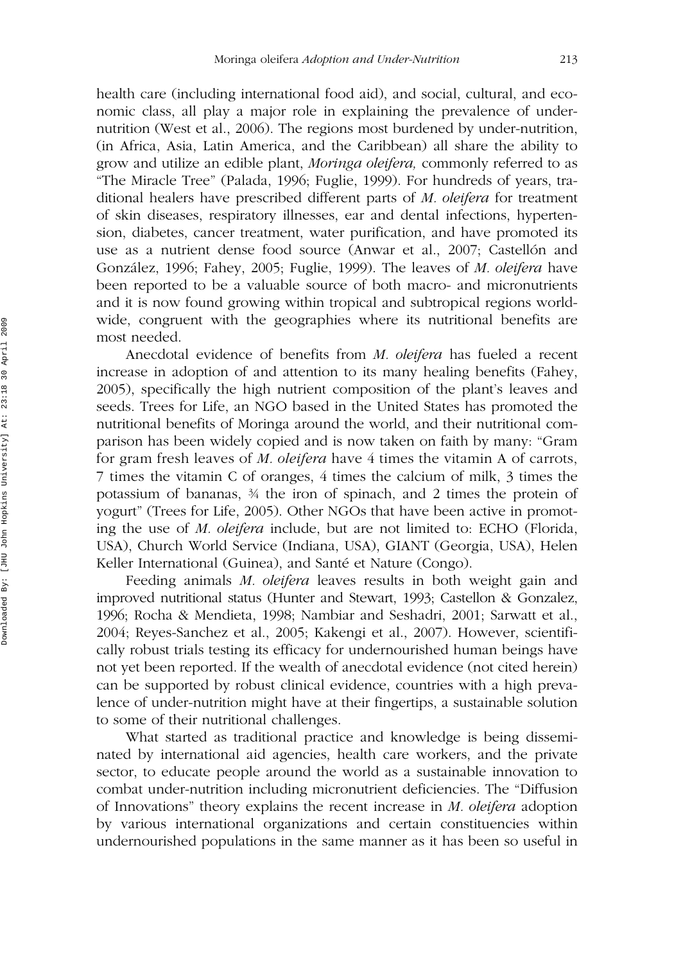health care (including international food aid), and social, cultural, and economic class, all play a major role in explaining the prevalence of undernutrition (West et al., 2006). The regions most burdened by under-nutrition, (in Africa, Asia, Latin America, and the Caribbean) all share the ability to grow and utilize an edible plant, *Moringa oleifera,* commonly referred to as "The Miracle Tree" (Palada, 1996; Fuglie, 1999). For hundreds of years, traditional healers have prescribed different parts of *M. oleifera* for treatment of skin diseases, respiratory illnesses, ear and dental infections, hypertension, diabetes, cancer treatment, water purification, and have promoted its use as a nutrient dense food source (Anwar et al., 2007; Castellón and González, 1996; Fahey, 2005; Fuglie, 1999). The leaves of *M. oleifera* have been reported to be a valuable source of both macro- and micronutrients and it is now found growing within tropical and subtropical regions worldwide, congruent with the geographies where its nutritional benefits are most needed.

Anecdotal evidence of benefits from *M. oleifera* has fueled a recent increase in adoption of and attention to its many healing benefits (Fahey, 2005), specifically the high nutrient composition of the plant's leaves and seeds. Trees for Life, an NGO based in the United States has promoted the nutritional benefits of Moringa around the world, and their nutritional comparison has been widely copied and is now taken on faith by many: "Gram for gram fresh leaves of *M. oleifera* have 4 times the vitamin A of carrots, 7 times the vitamin C of oranges, 4 times the calcium of milk, 3 times the potassium of bananas, ¾ the iron of spinach, and 2 times the protein of yogurt" (Trees for Life, 2005). Other NGOs that have been active in promoting the use of *M. oleifera* include, but are not limited to: ECHO (Florida, USA), Church World Service (Indiana, USA), GIANT (Georgia, USA), Helen Keller International (Guinea), and Santé et Nature (Congo).

Feeding animals *M. oleifera* leaves results in both weight gain and improved nutritional status (Hunter and Stewart, 1993; Castellon & Gonzalez, 1996; Rocha & Mendieta, 1998; Nambiar and Seshadri, 2001; Sarwatt et al., 2004; Reyes-Sanchez et al., 2005; Kakengi et al., 2007). However, scientifically robust trials testing its efficacy for undernourished human beings have not yet been reported. If the wealth of anecdotal evidence (not cited herein) can be supported by robust clinical evidence, countries with a high prevalence of under-nutrition might have at their fingertips, a sustainable solution to some of their nutritional challenges.

What started as traditional practice and knowledge is being disseminated by international aid agencies, health care workers, and the private sector, to educate people around the world as a sustainable innovation to combat under-nutrition including micronutrient deficiencies. The "Diffusion of Innovations" theory explains the recent increase in *M. oleifera* adoption by various international organizations and certain constituencies within undernourished populations in the same manner as it has been so useful in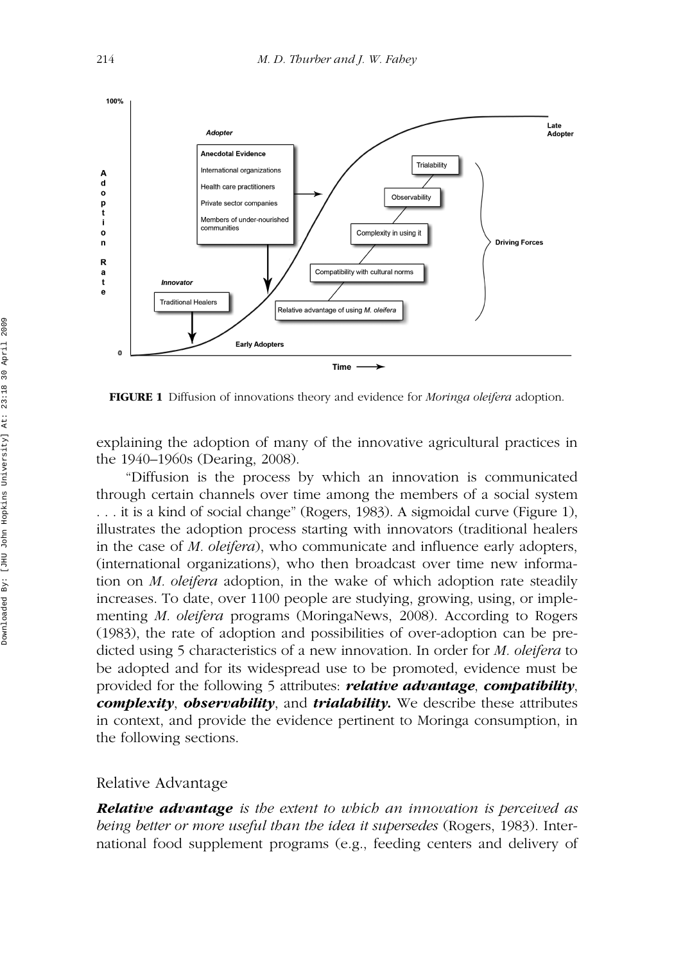

**FIGURE 1** Diffusion of innovations theory and evidence for *Moringa oleifera* adoption.

explaining the adoption of many of the innovative agricultural practices in the 1940–1960s (Dearing, 2008).

"Diffusion is the process by which an innovation is communicated through certain channels over time among the members of a social system . . . it is a kind of social change" (Rogers, 1983). A sigmoidal curve (Figure 1), illustrates the adoption process starting with innovators (traditional healers in the case of *M. oleifera*), who communicate and influence early adopters, (international organizations), who then broadcast over time new information on *M. oleifera* adoption, in the wake of which adoption rate steadily increases. To date, over 1100 people are studying, growing, using, or implementing *M. oleifera* programs (MoringaNews, 2008). According to Rogers (1983), the rate of adoption and possibilities of over-adoption can be predicted using 5 characteristics of a new innovation. In order for *M. oleifera* to be adopted and for its widespread use to be promoted, evidence must be provided for the following 5 attributes: *relative advantage*, *compatibility*, *complexity*, *observability*, and *trialability.* We describe these attributes in context, and provide the evidence pertinent to Moringa consumption, in the following sections.

#### Relative Advantage

*Relative advantage is the extent to which an innovation is perceived as being better or more useful than the idea it supersedes* (Rogers, 1983). International food supplement programs (e.g., feeding centers and delivery of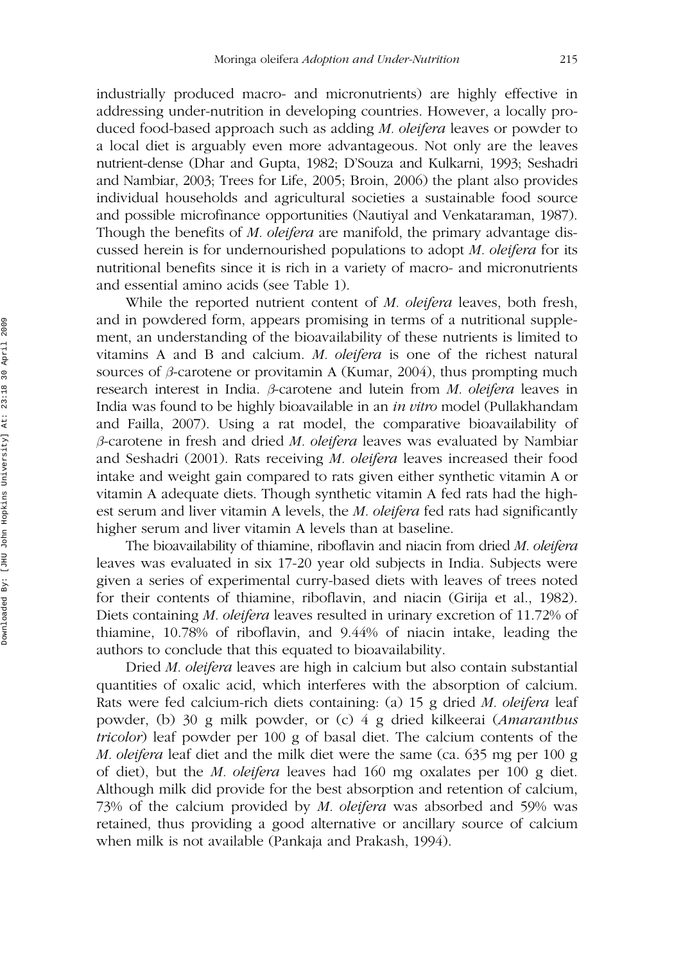industrially produced macro- and micronutrients) are highly effective in addressing under-nutrition in developing countries. However, a locally produced food-based approach such as adding *M. oleifera* leaves or powder to a local diet is arguably even more advantageous. Not only are the leaves nutrient-dense (Dhar and Gupta, 1982; D'Souza and Kulkarni, 1993; Seshadri and Nambiar, 2003; Trees for Life, 2005; Broin, 2006) the plant also provides individual households and agricultural societies a sustainable food source and possible microfinance opportunities (Nautiyal and Venkataraman, 1987). Though the benefits of *M. oleifera* are manifold, the primary advantage discussed herein is for undernourished populations to adopt *M. oleifera* for its nutritional benefits since it is rich in a variety of macro- and micronutrients and essential amino acids (see Table 1).

While the reported nutrient content of *M. oleifera* leaves, both fresh, and in powdered form, appears promising in terms of a nutritional supplement, an understanding of the bioavailability of these nutrients is limited to vitamins A and B and calcium. *M. oleifera* is one of the richest natural sources of  $\beta$ -carotene or provitamin A (Kumar, 2004), thus prompting much research interest in India. *b*-carotene and lutein from *M. oleifera* leaves in India was found to be highly bioavailable in an *in vitro* model (Pullakhandam and Failla, 2007). Using a rat model, the comparative bioavailability of *b*-carotene in fresh and dried *M. oleifera* leaves was evaluated by Nambiar and Seshadri (2001). Rats receiving *M. oleifera* leaves increased their food intake and weight gain compared to rats given either synthetic vitamin A or vitamin A adequate diets. Though synthetic vitamin A fed rats had the highest serum and liver vitamin A levels, the *M. oleifera* fed rats had significantly higher serum and liver vitamin A levels than at baseline.

The bioavailability of thiamine, riboflavin and niacin from dried *M. oleifera* leaves was evaluated in six 17-20 year old subjects in India. Subjects were given a series of experimental curry-based diets with leaves of trees noted for their contents of thiamine, riboflavin, and niacin (Girija et al., 1982). Diets containing *M. oleifera* leaves resulted in urinary excretion of 11.72% of thiamine, 10.78% of riboflavin, and 9.44% of niacin intake, leading the authors to conclude that this equated to bioavailability.

Dried *M. oleifera* leaves are high in calcium but also contain substantial quantities of oxalic acid, which interferes with the absorption of calcium. Rats were fed calcium-rich diets containing: (a) 15 g dried *M. oleifera* leaf powder, (b) 30 g milk powder, or (c) 4 g dried kilkeerai (*Amaranthus tricolor*) leaf powder per 100 g of basal diet. The calcium contents of the *M. oleifera* leaf diet and the milk diet were the same (ca. 635 mg per 100 g of diet), but the *M. oleifera* leaves had 160 mg oxalates per 100 g diet. Although milk did provide for the best absorption and retention of calcium, 73% of the calcium provided by *M. oleifera* was absorbed and 59% was retained, thus providing a good alternative or ancillary source of calcium when milk is not available (Pankaja and Prakash, 1994).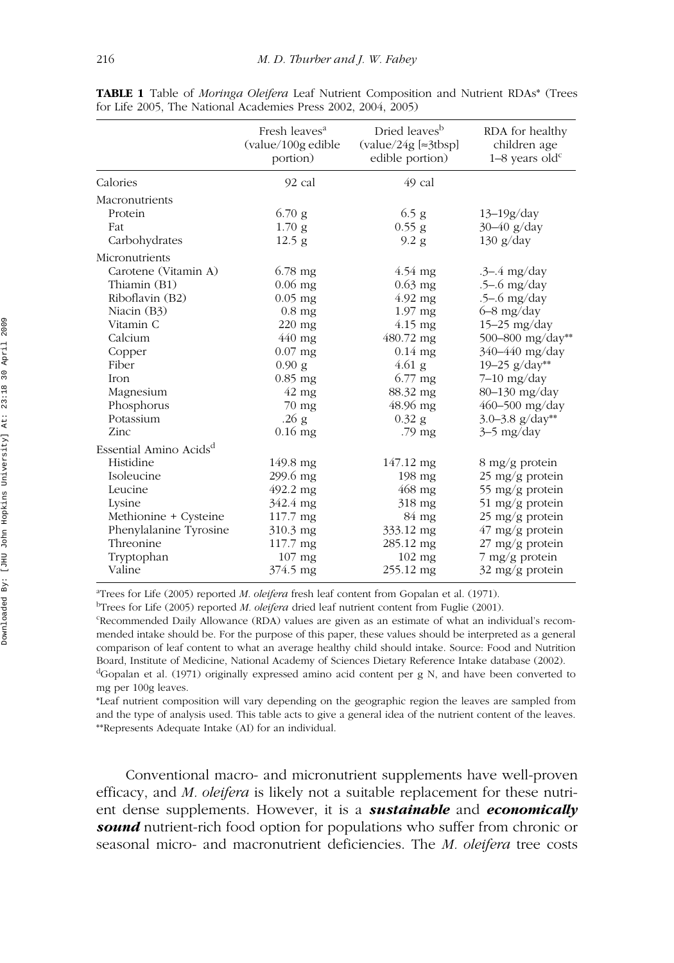|                                    | Fresh leaves <sup>a</sup><br>(value/100g edible<br>portion) | Dried leaves <sup>b</sup><br>$\left(\text{value}/24\text{g}\right)$ = 3tbsp]<br>edible portion) | RDA for healthy<br>children age<br>$1-8$ years old <sup>c</sup> |
|------------------------------------|-------------------------------------------------------------|-------------------------------------------------------------------------------------------------|-----------------------------------------------------------------|
| Calories                           | 92 cal                                                      | 49 cal                                                                                          |                                                                 |
| Macronutrients                     |                                                             |                                                                                                 |                                                                 |
| Protein                            | $6.70$ g                                                    | $6.5$ g                                                                                         | $13 - 19g/day$                                                  |
| Fat                                | 1.70 <sub>g</sub>                                           | $0.55$ g                                                                                        | $30-40$ g/day                                                   |
| Carbohydrates                      | $12.5$ g                                                    | 9.2 <sub>g</sub>                                                                                | $130 \text{ g/day}$                                             |
| Micronutrients                     |                                                             |                                                                                                 |                                                                 |
| Carotene (Vitamin A)               | $6.78 \text{ mg}$                                           | $4.54 \text{ mg}$                                                                               | $-3-4$ mg/day                                                   |
| Thiamin (B1)                       | $0.06$ mg                                                   | $0.63$ mg                                                                                       | $.5 - .6$ mg/day                                                |
| Riboflavin (B2)                    | $0.05$ mg                                                   | $4.92$ mg                                                                                       | $-5-6$ mg/day                                                   |
| Niacin (B3)                        | $0.8$ mg                                                    | $1.97$ mg                                                                                       | $6 - 8$ mg/day                                                  |
| Vitamin C                          | $220 \text{ mg}$                                            | $4.15$ mg                                                                                       | $15-25$ mg/day                                                  |
| Calcium                            | 440 mg                                                      | $480.72 \text{ mg}$                                                                             | 500-800 mg/day**                                                |
| Copper                             | $0.07$ mg                                                   | $0.14$ mg                                                                                       | 340-440 mg/day                                                  |
| Fiber                              | 0.90 g                                                      | $4.61$ g                                                                                        | 19–25 g/day**                                                   |
| <b>Iron</b>                        | $0.85$ mg                                                   | 6.77 mg                                                                                         | $7-10$ mg/day                                                   |
| Magnesium                          | $42 \text{ mg}$                                             | 88.32 mg                                                                                        | 80-130 mg/day                                                   |
| Phosphorus                         | $70$ mg                                                     | $48.96$ mg                                                                                      | $460 - 500$ mg/day                                              |
| Potassium                          | .26 <sub>g</sub>                                            | $0.32$ g                                                                                        | 3.0–3.8 $g/day**$                                               |
| Zinc                               | $0.16$ mg                                                   | .79 mg                                                                                          | $3-5$ mg/day                                                    |
| Essential Amino Acids <sup>d</sup> |                                                             |                                                                                                 |                                                                 |
| Histidine                          | 149.8 mg                                                    | 147.12 mg                                                                                       | $8 \text{ mg/g}$ protein                                        |
| Isoleucine                         | 299.6 mg                                                    | $198 \text{ mg}$                                                                                | 25 mg/g protein                                                 |
| Leucine                            | 492.2 mg                                                    | $468$ mg                                                                                        | 55 mg/g protein                                                 |
| Lysine                             | 342.4 mg                                                    | $318 \text{ mg}$                                                                                | $51 \text{ mg/g}$ protein                                       |
| Methionine + Cysteine              | $117.7 \text{ mg}$                                          | 84 mg                                                                                           | $25 \text{ mg/g}$ protein                                       |
| Phenylalanine Tyrosine             | 310.3 mg                                                    | 333.12 mg                                                                                       | $47 \text{ mg/g protein}$                                       |
| Threonine                          | 117.7 mg                                                    | 285.12 mg                                                                                       | $27 \text{ mg/g}$ protein                                       |
| Tryptophan                         | $107$ mg                                                    | $102$ mg                                                                                        | $7 \text{ mg/g}$ protein                                        |
| Valine                             | 374.5 mg                                                    | 255.12 mg                                                                                       | $32 \text{ mg/g}$ protein                                       |

**TABLE 1** Table of *Moringa Oleifera* Leaf Nutrient Composition and Nutrient RDAs\* (Trees for Life 2005, The National Academies Press 2002, 2004, 2005)

a Trees for Life (2005) reported *M. oleifera* fresh leaf content from Gopalan et al. (1971).

b Trees for Life (2005) reported *M. oleifera* dried leaf nutrient content from Fuglie (2001).

c Recommended Daily Allowance (RDA) values are given as an estimate of what an individual's recommended intake should be. For the purpose of this paper, these values should be interpreted as a general comparison of leaf content to what an average healthy child should intake. Source: Food and Nutrition Board, Institute of Medicine, National Academy of Sciences Dietary Reference Intake database (2002). <sup>d</sup>Gopalan et al. (1971) originally expressed amino acid content per g N, and have been converted to mg per 100g leaves.

\*Leaf nutrient composition will vary depending on the geographic region the leaves are sampled from and the type of analysis used. This table acts to give a general idea of the nutrient content of the leaves. \*\*Represents Adequate Intake (AI) for an individual.

Conventional macro- and micronutrient supplements have well-proven efficacy, and *M. oleifera* is likely not a suitable replacement for these nutrient dense supplements. However, it is a *sustainable* and *economically* **sound** nutrient-rich food option for populations who suffer from chronic or seasonal micro- and macronutrient deficiencies. The *M. oleifera* tree costs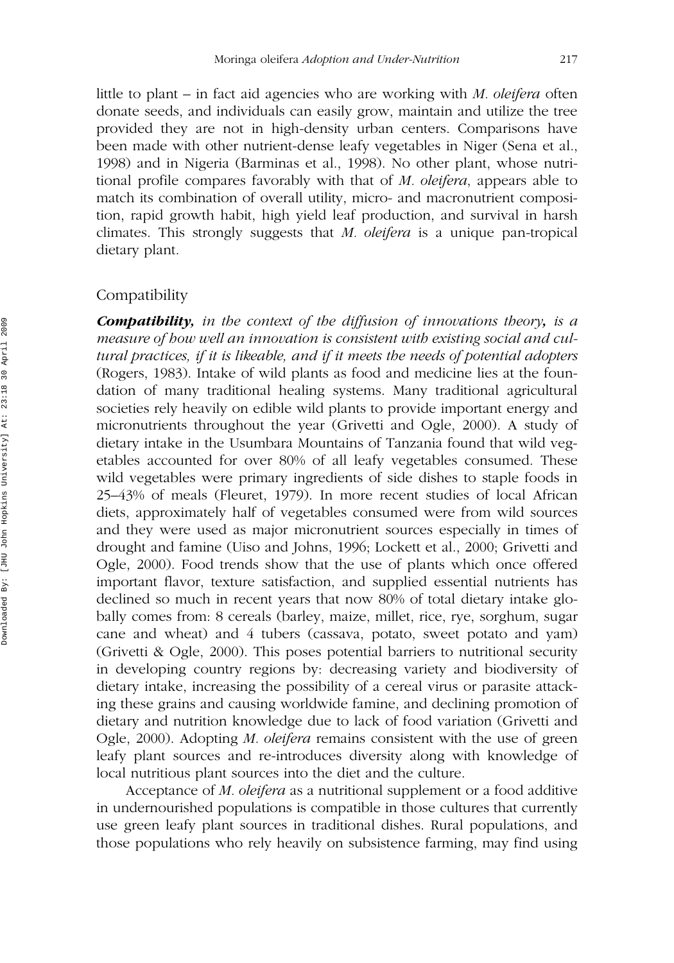little to plant – in fact aid agencies who are working with *M. oleifera* often donate seeds, and individuals can easily grow, maintain and utilize the tree provided they are not in high-density urban centers. Comparisons have been made with other nutrient-dense leafy vegetables in Niger (Sena et al., 1998) and in Nigeria (Barminas et al., 1998). No other plant, whose nutritional profile compares favorably with that of *M. oleifera*, appears able to match its combination of overall utility, micro- and macronutrient composition, rapid growth habit, high yield leaf production, and survival in harsh climates. This strongly suggests that *M. oleifera* is a unique pan-tropical dietary plant.

#### Compatibility

*Compatibility, in the context of the diffusion of innovations theory, is a measure of how well an innovation is consistent with existing social and cultural practices, if it is likeable, and if it meets the needs of potential adopters* (Rogers, 1983). Intake of wild plants as food and medicine lies at the foundation of many traditional healing systems. Many traditional agricultural societies rely heavily on edible wild plants to provide important energy and micronutrients throughout the year (Grivetti and Ogle, 2000). A study of dietary intake in the Usumbara Mountains of Tanzania found that wild vegetables accounted for over 80% of all leafy vegetables consumed. These wild vegetables were primary ingredients of side dishes to staple foods in 25–43% of meals (Fleuret, 1979). In more recent studies of local African diets, approximately half of vegetables consumed were from wild sources and they were used as major micronutrient sources especially in times of drought and famine (Uiso and Johns, 1996; Lockett et al., 2000; Grivetti and Ogle, 2000). Food trends show that the use of plants which once offered important flavor, texture satisfaction, and supplied essential nutrients has declined so much in recent years that now 80% of total dietary intake globally comes from: 8 cereals (barley, maize, millet, rice, rye, sorghum, sugar cane and wheat) and 4 tubers (cassava, potato, sweet potato and yam) (Grivetti & Ogle, 2000). This poses potential barriers to nutritional security in developing country regions by: decreasing variety and biodiversity of dietary intake, increasing the possibility of a cereal virus or parasite attacking these grains and causing worldwide famine, and declining promotion of dietary and nutrition knowledge due to lack of food variation (Grivetti and Ogle, 2000). Adopting *M. oleifera* remains consistent with the use of green leafy plant sources and re-introduces diversity along with knowledge of local nutritious plant sources into the diet and the culture.

Acceptance of *M. oleifera* as a nutritional supplement or a food additive in undernourished populations is compatible in those cultures that currently use green leafy plant sources in traditional dishes. Rural populations, and those populations who rely heavily on subsistence farming, may find using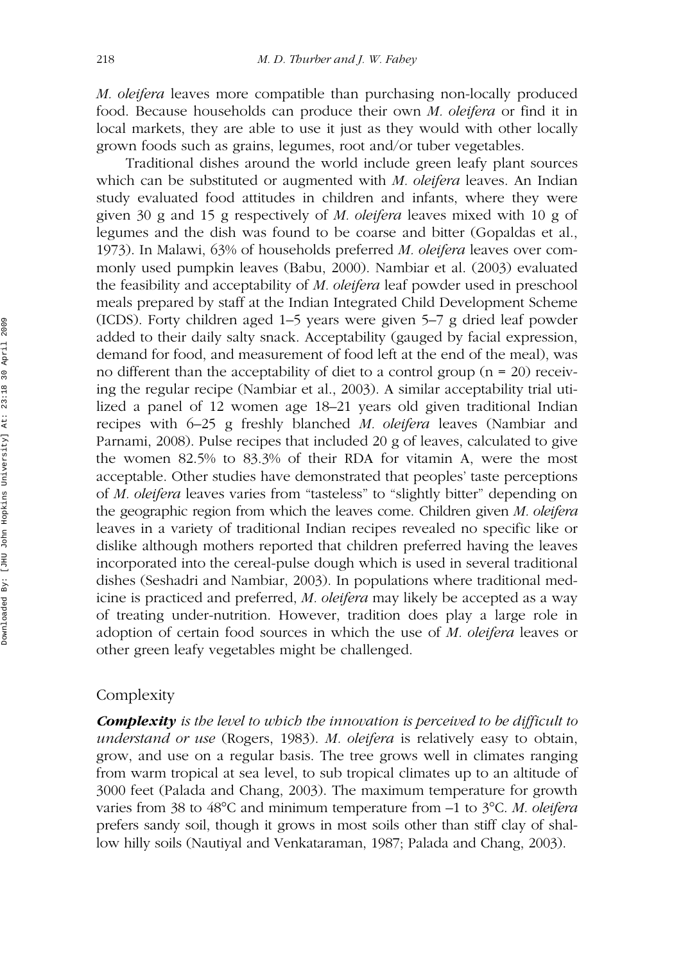*M. oleifera* leaves more compatible than purchasing non-locally produced food. Because households can produce their own *M. oleifera* or find it in local markets, they are able to use it just as they would with other locally grown foods such as grains, legumes, root and/or tuber vegetables.

Traditional dishes around the world include green leafy plant sources which can be substituted or augmented with *M. oleifera* leaves. An Indian study evaluated food attitudes in children and infants, where they were given 30 g and 15 g respectively of *M. oleifera* leaves mixed with 10 g of legumes and the dish was found to be coarse and bitter (Gopaldas et al., 1973). In Malawi, 63% of households preferred *M. oleifera* leaves over commonly used pumpkin leaves (Babu, 2000). Nambiar et al. (2003) evaluated the feasibility and acceptability of *M. oleifera* leaf powder used in preschool meals prepared by staff at the Indian Integrated Child Development Scheme (ICDS). Forty children aged 1–5 years were given 5–7 g dried leaf powder added to their daily salty snack. Acceptability (gauged by facial expression, demand for food, and measurement of food left at the end of the meal), was no different than the acceptability of diet to a control group  $(n = 20)$  receiving the regular recipe (Nambiar et al., 2003). A similar acceptability trial utilized a panel of 12 women age 18–21 years old given traditional Indian recipes with 6–25 g freshly blanched *M. oleifera* leaves (Nambiar and Parnami, 2008). Pulse recipes that included 20 g of leaves, calculated to give the women 82.5% to 83.3% of their RDA for vitamin A, were the most acceptable. Other studies have demonstrated that peoples' taste perceptions of *M. oleifera* leaves varies from "tasteless" to "slightly bitter" depending on the geographic region from which the leaves come. Children given *M. oleifera* leaves in a variety of traditional Indian recipes revealed no specific like or dislike although mothers reported that children preferred having the leaves incorporated into the cereal-pulse dough which is used in several traditional dishes (Seshadri and Nambiar, 2003). In populations where traditional medicine is practiced and preferred, *M. oleifera* may likely be accepted as a way of treating under-nutrition. However, tradition does play a large role in adoption of certain food sources in which the use of *M. oleifera* leaves or other green leafy vegetables might be challenged.

### Complexity

*Complexity is the level to which the innovation is perceived to be difficult to understand or use* (Rogers, 1983). *M. oleifera* is relatively easy to obtain, grow, and use on a regular basis. The tree grows well in climates ranging from warm tropical at sea level, to sub tropical climates up to an altitude of 3000 feet (Palada and Chang, 2003). The maximum temperature for growth varies from 38 to 48°C and minimum temperature from –1 to 3°C. *M. oleifera* prefers sandy soil, though it grows in most soils other than stiff clay of shallow hilly soils (Nautiyal and Venkataraman, 1987; Palada and Chang, 2003).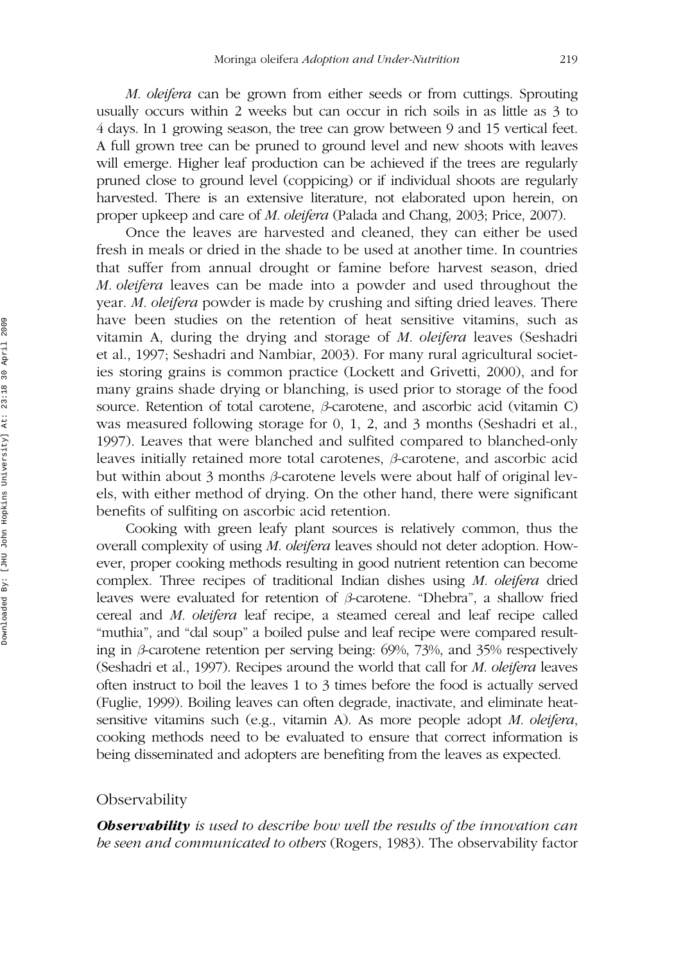*M. oleifera* can be grown from either seeds or from cuttings. Sprouting usually occurs within 2 weeks but can occur in rich soils in as little as 3 to 4 days. In 1 growing season, the tree can grow between 9 and 15 vertical feet. A full grown tree can be pruned to ground level and new shoots with leaves will emerge. Higher leaf production can be achieved if the trees are regularly pruned close to ground level (coppicing) or if individual shoots are regularly harvested. There is an extensive literature, not elaborated upon herein, on proper upkeep and care of *M. oleifera* (Palada and Chang, 2003; Price, 2007).

Once the leaves are harvested and cleaned, they can either be used fresh in meals or dried in the shade to be used at another time. In countries that suffer from annual drought or famine before harvest season, dried *M. oleifera* leaves can be made into a powder and used throughout the year. *M. oleifera* powder is made by crushing and sifting dried leaves. There have been studies on the retention of heat sensitive vitamins, such as vitamin A, during the drying and storage of *M. oleifera* leaves (Seshadri et al., 1997; Seshadri and Nambiar, 2003). For many rural agricultural societies storing grains is common practice (Lockett and Grivetti, 2000), and for many grains shade drying or blanching, is used prior to storage of the food source. Retention of total carotene,  $\beta$ -carotene, and ascorbic acid (vitamin C) was measured following storage for 0, 1, 2, and 3 months (Seshadri et al., 1997). Leaves that were blanched and sulfited compared to blanched-only leaves initially retained more total carotenes, *b*-carotene, and ascorbic acid but within about 3 months  $\beta$ -carotene levels were about half of original levels, with either method of drying. On the other hand, there were significant benefits of sulfiting on ascorbic acid retention.

Cooking with green leafy plant sources is relatively common, thus the overall complexity of using *M. oleifera* leaves should not deter adoption. However, proper cooking methods resulting in good nutrient retention can become complex. Three recipes of traditional Indian dishes using *M. oleifera* dried leaves were evaluated for retention of *b*-carotene. "Dhebra", a shallow fried cereal and *M. oleifera* leaf recipe, a steamed cereal and leaf recipe called "muthia", and "dal soup" a boiled pulse and leaf recipe were compared resulting in *b*-carotene retention per serving being: 69%, 73%, and 35% respectively (Seshadri et al., 1997). Recipes around the world that call for *M. oleifera* leaves often instruct to boil the leaves 1 to 3 times before the food is actually served (Fuglie, 1999). Boiling leaves can often degrade, inactivate, and eliminate heatsensitive vitamins such (e.g., vitamin A). As more people adopt *M. oleifera*, cooking methods need to be evaluated to ensure that correct information is being disseminated and adopters are benefiting from the leaves as expected.

#### **Observability**

*Observability is used to describe how well the results of the innovation can be seen and communicated to others* (Rogers, 1983). The observability factor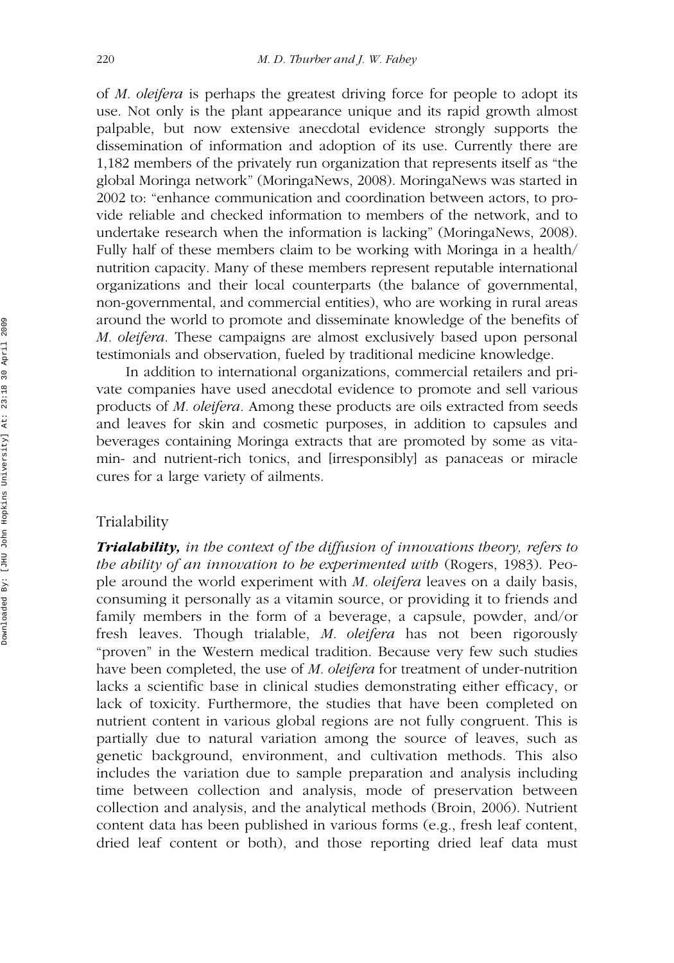of *M. oleifera* is perhaps the greatest driving force for people to adopt its use. Not only is the plant appearance unique and its rapid growth almost palpable, but now extensive anecdotal evidence strongly supports the dissemination of information and adoption of its use. Currently there are 1,182 members of the privately run organization that represents itself as "the global Moringa network" (MoringaNews, 2008). MoringaNews was started in 2002 to: "enhance communication and coordination between actors, to provide reliable and checked information to members of the network, and to undertake research when the information is lacking" (MoringaNews, 2008). Fully half of these members claim to be working with Moringa in a health/ nutrition capacity. Many of these members represent reputable international organizations and their local counterparts (the balance of governmental, non-governmental, and commercial entities), who are working in rural areas around the world to promote and disseminate knowledge of the benefits of *M. oleifera.* These campaigns are almost exclusively based upon personal testimonials and observation, fueled by traditional medicine knowledge.

In addition to international organizations, commercial retailers and private companies have used anecdotal evidence to promote and sell various products of *M. oleifera.* Among these products are oils extracted from seeds and leaves for skin and cosmetic purposes, in addition to capsules and beverages containing Moringa extracts that are promoted by some as vitamin- and nutrient-rich tonics, and [irresponsibly] as panaceas or miracle cures for a large variety of ailments.

#### Trialability

*Trialability, in the context of the diffusion of innovations theory, refers to the ability of an innovation to be experimented with* (Rogers, 1983). People around the world experiment with *M. oleifera* leaves on a daily basis, consuming it personally as a vitamin source, or providing it to friends and family members in the form of a beverage, a capsule, powder, and/or fresh leaves. Though trialable, *M. oleifera* has not been rigorously "proven" in the Western medical tradition. Because very few such studies have been completed, the use of *M. oleifera* for treatment of under-nutrition lacks a scientific base in clinical studies demonstrating either efficacy, or lack of toxicity. Furthermore, the studies that have been completed on nutrient content in various global regions are not fully congruent. This is partially due to natural variation among the source of leaves, such as genetic background, environment, and cultivation methods. This also includes the variation due to sample preparation and analysis including time between collection and analysis, mode of preservation between collection and analysis, and the analytical methods (Broin, 2006). Nutrient content data has been published in various forms (e.g., fresh leaf content, dried leaf content or both), and those reporting dried leaf data must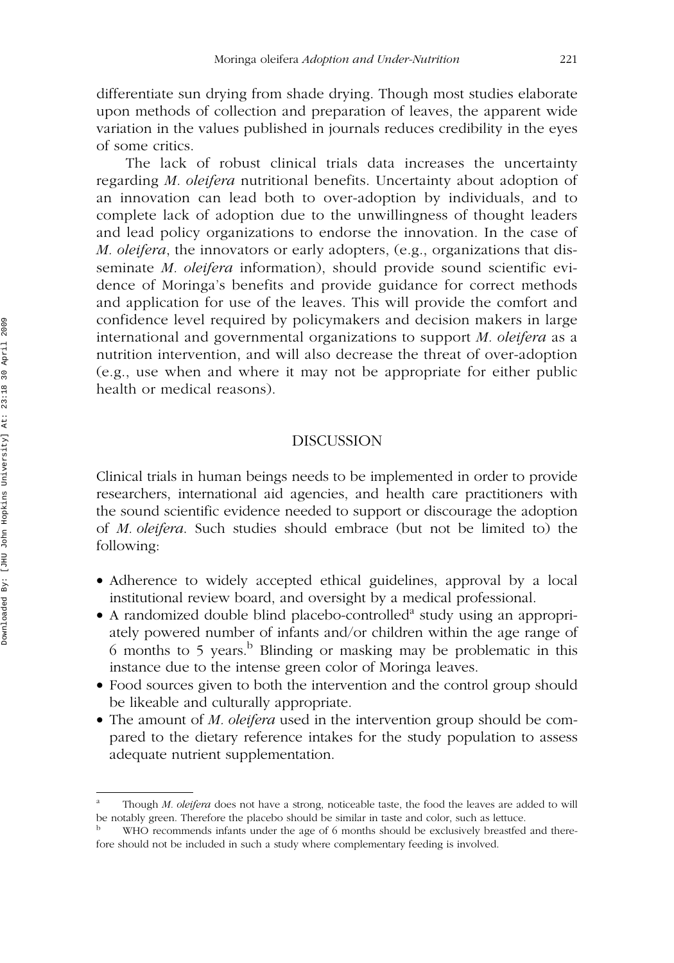differentiate sun drying from shade drying. Though most studies elaborate upon methods of collection and preparation of leaves, the apparent wide variation in the values published in journals reduces credibility in the eyes of some critics.

The lack of robust clinical trials data increases the uncertainty regarding *M. oleifera* nutritional benefits. Uncertainty about adoption of an innovation can lead both to over-adoption by individuals, and to complete lack of adoption due to the unwillingness of thought leaders and lead policy organizations to endorse the innovation. In the case of *M. oleifera*, the innovators or early adopters, (e.g., organizations that disseminate *M. oleifera* information), should provide sound scientific evidence of Moringa's benefits and provide guidance for correct methods and application for use of the leaves. This will provide the comfort and confidence level required by policymakers and decision makers in large international and governmental organizations to support *M. oleifera* as a nutrition intervention, and will also decrease the threat of over-adoption (e.g., use when and where it may not be appropriate for either public health or medical reasons).

#### DISCUSSION

Clinical trials in human beings needs to be implemented in order to provide researchers, international aid agencies, and health care practitioners with the sound scientific evidence needed to support or discourage the adoption of *M. oleifera*. Such studies should embrace (but not be limited to) the following:

- Adherence to widely accepted ethical guidelines, approval by a local institutional review board, and oversight by a medical professional.
- A randomized double blind placebo-controlled<sup>a</sup> study using an appropriately powered number of infants and/or children within the age range of 6 months to 5 years.<sup>b</sup> Blinding or masking may be problematic in this instance due to the intense green color of Moringa leaves.
- Food sources given to both the intervention and the control group should be likeable and culturally appropriate.
- The amount of *M. oleifera* used in the intervention group should be compared to the dietary reference intakes for the study population to assess adequate nutrient supplementation.

Though *M. oleifera* does not have a strong, noticeable taste, the food the leaves are added to will be notably green. Therefore the placebo should be similar in taste and color, such as lettuce.

WHO recommends infants under the age of 6 months should be exclusively breastfed and therefore should not be included in such a study where complementary feeding is involved.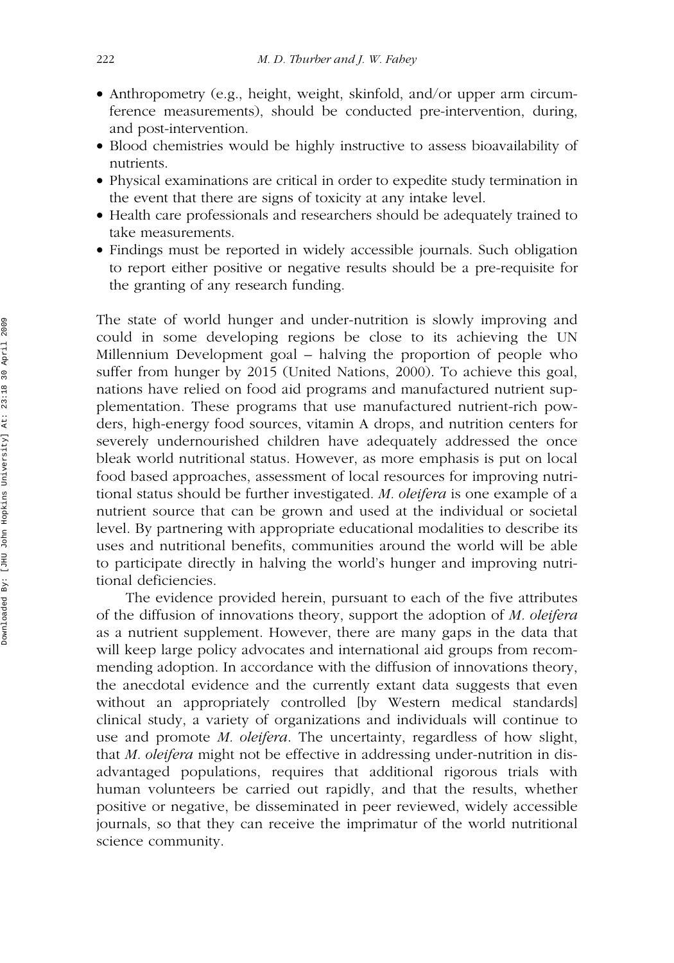- Anthropometry (e.g., height, weight, skinfold, and/or upper arm circumference measurements), should be conducted pre-intervention, during, and post-intervention.
- Blood chemistries would be highly instructive to assess bioavailability of nutrients.
- Physical examinations are critical in order to expedite study termination in the event that there are signs of toxicity at any intake level.
- Health care professionals and researchers should be adequately trained to take measurements.
- Findings must be reported in widely accessible journals. Such obligation to report either positive or negative results should be a pre-requisite for the granting of any research funding.

The state of world hunger and under-nutrition is slowly improving and could in some developing regions be close to its achieving the UN Millennium Development goal – halving the proportion of people who suffer from hunger by 2015 (United Nations, 2000). To achieve this goal, nations have relied on food aid programs and manufactured nutrient supplementation. These programs that use manufactured nutrient-rich powders, high-energy food sources, vitamin A drops, and nutrition centers for severely undernourished children have adequately addressed the once bleak world nutritional status. However, as more emphasis is put on local food based approaches, assessment of local resources for improving nutritional status should be further investigated. *M. oleifera* is one example of a nutrient source that can be grown and used at the individual or societal level. By partnering with appropriate educational modalities to describe its uses and nutritional benefits, communities around the world will be able to participate directly in halving the world's hunger and improving nutritional deficiencies.

The evidence provided herein, pursuant to each of the five attributes of the diffusion of innovations theory, support the adoption of *M. oleifera* as a nutrient supplement. However, there are many gaps in the data that will keep large policy advocates and international aid groups from recommending adoption. In accordance with the diffusion of innovations theory, the anecdotal evidence and the currently extant data suggests that even without an appropriately controlled [by Western medical standards] clinical study, a variety of organizations and individuals will continue to use and promote *M. oleifera*. The uncertainty, regardless of how slight, that *M. oleifera* might not be effective in addressing under-nutrition in disadvantaged populations, requires that additional rigorous trials with human volunteers be carried out rapidly, and that the results, whether positive or negative, be disseminated in peer reviewed, widely accessible journals, so that they can receive the imprimatur of the world nutritional science community.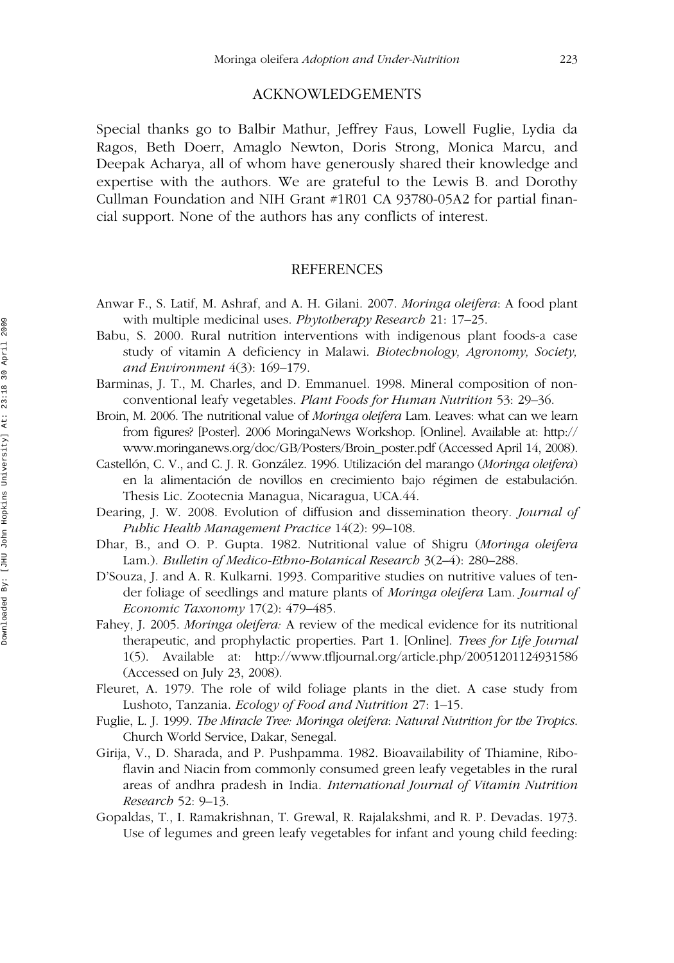#### ACKNOWLEDGEMENTS

Special thanks go to Balbir Mathur, Jeffrey Faus, Lowell Fuglie, Lydia da Ragos, Beth Doerr, Amaglo Newton, Doris Strong, Monica Marcu, and Deepak Acharya, all of whom have generously shared their knowledge and expertise with the authors. We are grateful to the Lewis B. and Dorothy Cullman Foundation and NIH Grant #1R01 CA 93780-05A2 for partial financial support. None of the authors has any conflicts of interest.

#### REFERENCES

- Anwar F., S. Latif, M. Ashraf, and A. H. Gilani. 2007. *Moringa oleifera*: A food plant with multiple medicinal uses. *Phytotherapy Research* 21: 17–25.
- Babu, S. 2000. Rural nutrition interventions with indigenous plant foods-a case study of vitamin A deficiency in Malawi. *Biotechnology, Agronomy, Society, and Environment* 4(3): 169–179.
- Barminas, J. T., M. Charles, and D. Emmanuel. 1998. Mineral composition of nonconventional leafy vegetables. *Plant Foods for Human Nutrition* 53: 29–36.
- Broin, M. 2006. The nutritional value of *Moringa oleifera* Lam. Leaves: what can we learn from figures? [Poster]. 2006 MoringaNews Workshop. [Online]. Available at: http:// www.moringanews.org/doc/GB/Posters/Broin\_poster.pdf (Accessed April 14, 2008).
- Castellón, C. V., and C. J. R. González. 1996. Utilización del marango (*Moringa oleifera*) en la alimentación de novillos en crecimiento bajo régimen de estabulación. Thesis Lic. Zootecnia Managua, Nicaragua, UCA.44.
- Dearing, J. W. 2008. Evolution of diffusion and dissemination theory. *Journal of Public Health Management Practice* 14(2): 99–108.
- Dhar, B., and O. P. Gupta. 1982. Nutritional value of Shigru (*Moringa oleifera* Lam.). *Bulletin of Medico-Ethno-Botanical Research* 3(2–4): 280–288.
- D'Souza, J. and A. R. Kulkarni. 1993. Comparitive studies on nutritive values of tender foliage of seedlings and mature plants of *Moringa oleifera* Lam. *Journal of Economic Taxonomy* 17(2): 479–485.
- Fahey, J. 2005. *Moringa oleifera:* A review of the medical evidence for its nutritional therapeutic, and prophylactic properties. Part 1. [Online]. *Trees for Life Journal* 1(5). Available at: http://www.tfljournal.org/article.php/20051201124931586 (Accessed on July 23, 2008).
- Fleuret, A. 1979. The role of wild foliage plants in the diet. A case study from Lushoto, Tanzania. *Ecology of Food and Nutrition* 27: 1–15.
- Fuglie, L. J. 1999. *The Miracle Tree: Moringa oleifera*: *Natural Nutrition for the Tropics*. Church World Service, Dakar, Senegal.
- Girija, V., D. Sharada, and P. Pushpamma. 1982. Bioavailability of Thiamine, Riboflavin and Niacin from commonly consumed green leafy vegetables in the rural areas of andhra pradesh in India. *International Journal of Vitamin Nutrition Research* 52: 9–13.
- Gopaldas, T., I. Ramakrishnan, T. Grewal, R. Rajalakshmi, and R. P. Devadas. 1973. Use of legumes and green leafy vegetables for infant and young child feeding: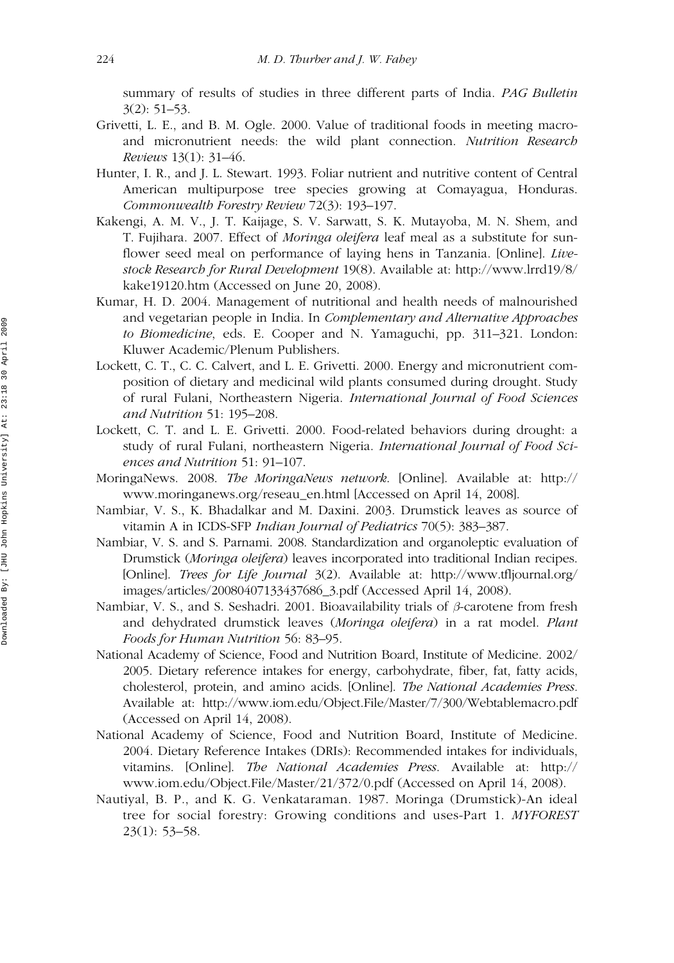summary of results of studies in three different parts of India. *PAG Bulletin* 3(2): 51–53.

- Grivetti, L. E., and B. M. Ogle. 2000. Value of traditional foods in meeting macroand micronutrient needs: the wild plant connection. *Nutrition Research Reviews* 13(1): 31–46.
- Hunter, I. R., and J. L. Stewart. 1993. Foliar nutrient and nutritive content of Central American multipurpose tree species growing at Comayagua, Honduras. *Commonwealth Forestry Review* 72(3): 193–197.
- Kakengi, A. M. V., J. T. Kaijage, S. V. Sarwatt, S. K. Mutayoba, M. N. Shem, and T. Fujihara. 2007. Effect of *Moringa oleifera* leaf meal as a substitute for sunflower seed meal on performance of laying hens in Tanzania. [Online]. *Livestock Research for Rural Development* 19(8). Available at: http://www.lrrd19/8/ kake19120.htm (Accessed on June 20, 2008).
- Kumar, H. D. 2004. Management of nutritional and health needs of malnourished and vegetarian people in India. In *Complementary and Alternative Approaches to Biomedicine*, eds. E. Cooper and N. Yamaguchi, pp. 311–321. London: Kluwer Academic/Plenum Publishers.
- Lockett, C. T., C. C. Calvert, and L. E. Grivetti. 2000. Energy and micronutrient composition of dietary and medicinal wild plants consumed during drought. Study of rural Fulani, Northeastern Nigeria. *International Journal of Food Sciences and Nutrition* 51: 195–208.
- Lockett, C. T. and L. E. Grivetti. 2000. Food-related behaviors during drought: a study of rural Fulani, northeastern Nigeria. *International Journal of Food Sciences and Nutrition* 51: 91–107.
- MoringaNews. 2008. *The MoringaNews network*. [Online]. Available at: http:// www.moringanews.org/reseau\_en.html [Accessed on April 14, 2008].
- Nambiar, V. S., K. Bhadalkar and M. Daxini. 2003. Drumstick leaves as source of vitamin A in ICDS-SFP *Indian Journal of Pediatrics* 70(5): 383–387.
- Nambiar, V. S. and S. Parnami. 2008. Standardization and organoleptic evaluation of Drumstick (*Moringa oleifera*) leaves incorporated into traditional Indian recipes. [Online]. *Trees for Life Journal* 3(2). Available at: http://www.tfljournal.org/ images/articles/20080407133437686\_3.pdf (Accessed April 14, 2008).
- Nambiar, V. S., and S. Seshadri. 2001. Bioavailability trials of *b*-carotene from fresh and dehydrated drumstick leaves (*Moringa oleifera*) in a rat model. *Plant Foods for Human Nutrition* 56: 83–95.
- National Academy of Science, Food and Nutrition Board, Institute of Medicine. 2002/ 2005. Dietary reference intakes for energy, carbohydrate, fiber, fat, fatty acids, cholesterol, protein, and amino acids. [Online]. *The National Academies Press.* Available at: http://www.iom.edu/Object.File/Master/7/300/Webtablemacro.pdf (Accessed on April 14, 2008).
- National Academy of Science, Food and Nutrition Board, Institute of Medicine. 2004. Dietary Reference Intakes (DRIs): Recommended intakes for individuals, vitamins. [Online]. *The National Academies Press*. Available at: http:// www.iom.edu/Object.File/Master/21/372/0.pdf (Accessed on April 14, 2008).
- Nautiyal, B. P., and K. G. Venkataraman. 1987. Moringa (Drumstick)-An ideal tree for social forestry: Growing conditions and uses-Part 1. *MYFOREST* 23(1): 53–58.